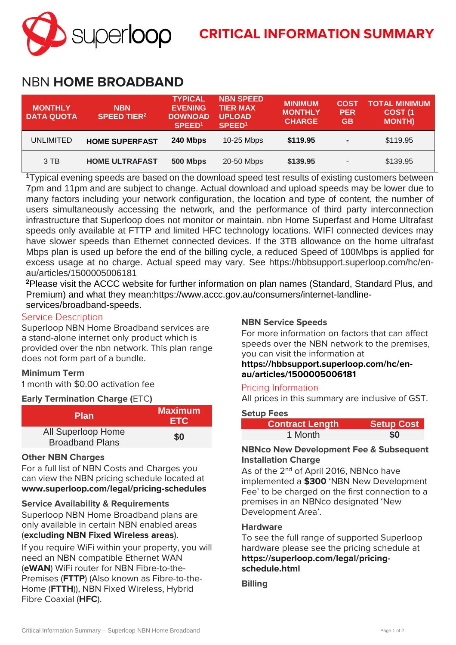

# NBN **HOME BROADBAND**

| <b>MONTHLY</b><br><b>DATA QUOTA</b> | <b>NBN</b><br><b>SPEED TIER<sup>2</sup></b> | <b>TYPICAL</b><br><b>EVENING</b><br><b>DOWNOAD</b><br>SPEED <sup>1</sup> | <b>NBN SPEED</b><br><b>TIER MAX</b><br><b>UPLOAD</b><br>SPEED <sup>1</sup> | <b>MINIMUM</b><br><b>MONTHLY</b><br><b>CHARGE</b> | <b>COST</b><br><b>PER</b><br><b>GB</b> | <b>TOTAL MINIMUM</b><br>COST <sub>(1</sub><br><b>MONTH)</b> |
|-------------------------------------|---------------------------------------------|--------------------------------------------------------------------------|----------------------------------------------------------------------------|---------------------------------------------------|----------------------------------------|-------------------------------------------------------------|
| UNLIMITED                           | <b>HOME SUPERFAST</b>                       | 240 Mbps                                                                 | 10-25 Mbps                                                                 | \$119.95                                          | $\blacksquare$                         | \$119.95                                                    |
| 3 TB                                | <b>HOME ULTRAFAST</b>                       | 500 Mbps                                                                 | 20-50 Mbps                                                                 | \$139.95                                          | $\overline{\phantom{a}}$               | \$139.95                                                    |

**<sup>1</sup>**Typical evening speeds are based on the download speed test results of existing customers between 7pm and 11pm and are subject to change. Actual download and upload speeds may be lower due to many factors including your network configuration, the location and type of content, the number of users simultaneously accessing the network, and the performance of third party interconnection infrastructure that Superloop does not monitor or maintain. nbn Home Superfast and Home Ultrafast speeds only available at FTTP and limited HFC technology locations. WIFI connected devices may have slower speeds than Ethernet connected devices. If the 3TB allowance on the home ultrafast Mbps plan is used up before the end of the billing cycle, a reduced Speed of 100Mbps is applied for excess usage at no charge. Actual speed may vary. See https://hbbsupport.superloop.com/hc/enau/articles/1500005006181

**<sup>2</sup>**Please visit the ACCC website for further information on plan names (Standard, Standard Plus, and Premium) and what they mean:https://www.accc.gov.au/consumers/internet-landlineservices/broadband-speeds.

#### **Service Description**

Superloop NBN Home Broadband services are a stand-alone internet only product which is provided over the nbn network. This plan range does not form part of a bundle.

# **Minimum Term**

1 month with \$0.00 activation fee

#### **Early Termination Charge (**ETC**)**

| <b>Plan</b>                                  | <b>Maximum</b><br>ETC. |
|----------------------------------------------|------------------------|
| All Superloop Home<br><b>Broadband Plans</b> | \$0                    |

#### **Other NBN Charges**

For a full list of NBN Costs and Charges you can view the NBN pricing schedule located at **[www.superloop.com/legal/pricing-schedules](https://www.superloop.com/legal/pricing-schedules.html)**

#### **Service Availability & Requirements**

Superloop NBN Home Broadband plans are only available in certain NBN enabled areas (**excluding NBN Fixed Wireless areas**).

If you require WiFi within your property, you will need an NBN compatible Ethernet WAN (**eWAN**) WiFi router for NBN Fibre-to-the-Premises (**FTTP**) (Also known as Fibre-to-the-Home (**FTTH**)), NBN Fixed Wireless, Hybrid Fibre Coaxial (**HFC**).

### **NBN Service Speeds**

For more information on factors that can affect speeds over the NBN network to the premises, you can visit the information at

## **https://hbbsupport.superloop.com/hc/enau/articles/1500005006181**

#### Pricing Information

All prices in this summary are inclusive of GST.

#### **Setup Fees**

| <b>Contract Length</b> | <b>Setup Cost</b> |
|------------------------|-------------------|
| 1 Month                | ፍበ                |

#### **NBNco New Development Fee & Subsequent Installation Charge**

As of the 2<sup>nd</sup> of April 2016, NBNco have implemented a **\$300** 'NBN New Development Fee' to be charged on the first connection to a premises in an NBNco designated 'New Development Area'.

#### **Hardware**

To see the full range of supported Superloop hardware please see the pricing schedule at **https://superloop.com/legal/pricingschedule.html**

**Billing**